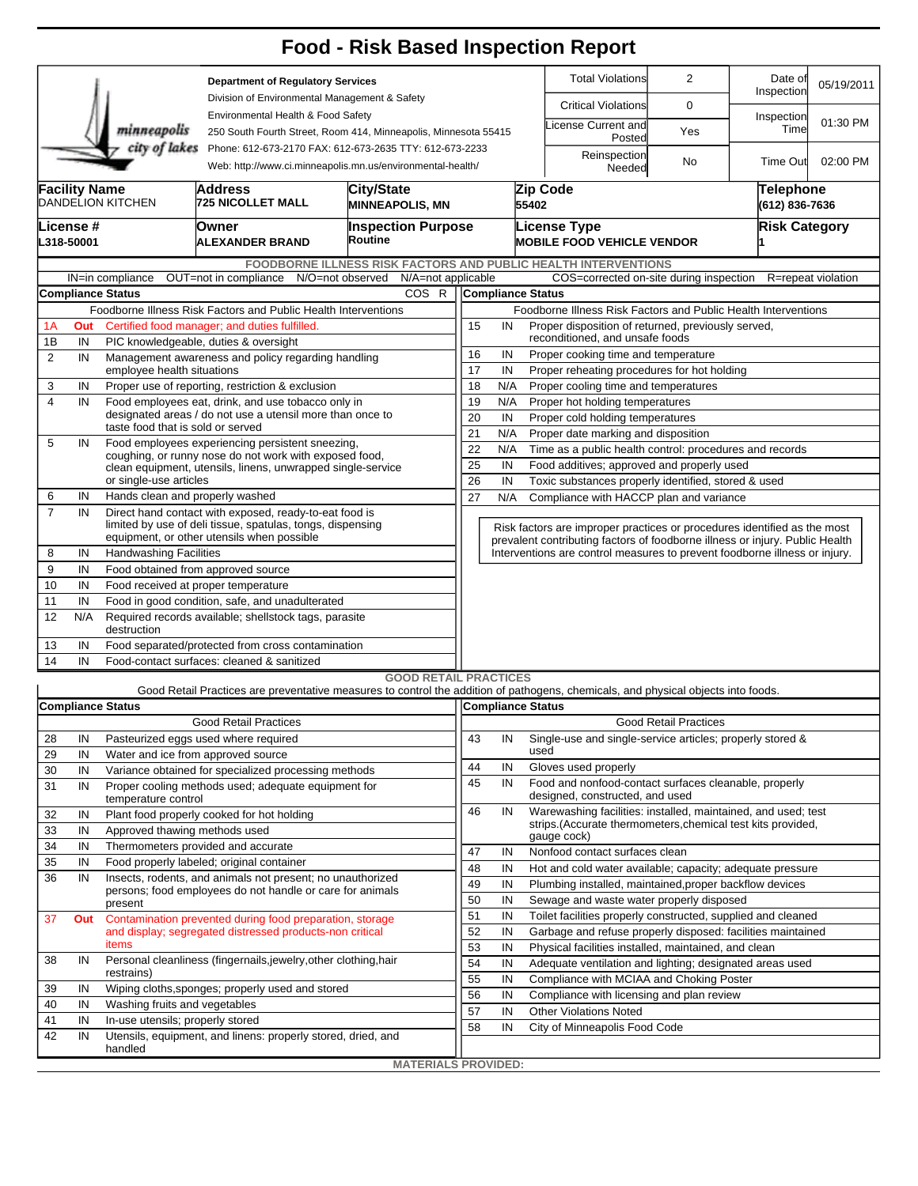|                                                                                                                                        |                                                                                                                   |                                                                                                            |                                                                                                                                   | <b>Food - Risk Based Inspection Report</b>                      |                                                                                                   |                                                |                                                                            |                                                                                          |                              |                    |                    |  |  |  |  |
|----------------------------------------------------------------------------------------------------------------------------------------|-------------------------------------------------------------------------------------------------------------------|------------------------------------------------------------------------------------------------------------|-----------------------------------------------------------------------------------------------------------------------------------|-----------------------------------------------------------------|---------------------------------------------------------------------------------------------------|------------------------------------------------|----------------------------------------------------------------------------|------------------------------------------------------------------------------------------|------------------------------|--------------------|--------------------|--|--|--|--|
|                                                                                                                                        |                                                                                                                   |                                                                                                            | <b>Department of Regulatory Services</b>                                                                                          |                                                                 |                                                                                                   |                                                | <b>Total Violations</b>                                                    | $\overline{2}$                                                                           | Date of<br>Inspection        | 05/19/2011         |                    |  |  |  |  |
|                                                                                                                                        |                                                                                                                   |                                                                                                            | Division of Environmental Management & Safety<br>Environmental Health & Food Safety                                               |                                                                 |                                                                                                   |                                                | <b>Critical Violations</b>                                                 | 0                                                                                        |                              |                    |                    |  |  |  |  |
|                                                                                                                                        |                                                                                                                   | minneapolis                                                                                                |                                                                                                                                   | 250 South Fourth Street, Room 414, Minneapolis, Minnesota 55415 |                                                                                                   |                                                |                                                                            | icense Current and<br>Posted                                                             | Yes                          | Inspection<br>Time | 01:30 PM           |  |  |  |  |
| city of lakes<br>Phone: 612-673-2170 FAX: 612-673-2635 TTY: 612-673-2233<br>Web: http://www.ci.minneapolis.mn.us/environmental-health/ |                                                                                                                   |                                                                                                            |                                                                                                                                   |                                                                 |                                                                                                   |                                                |                                                                            | Reinspection<br>Needed                                                                   | No                           | <b>Time Out</b>    | 02:00 PM           |  |  |  |  |
|                                                                                                                                        | <b>Facility Name</b>                                                                                              | DANDELION KITCHEN                                                                                          | City/State<br>Address<br><b>725 NICOLLET MALL</b><br><b>MINNEAPOLIS, MN</b>                                                       |                                                                 |                                                                                                   |                                                |                                                                            | Zip Code<br>Telephone<br>55402<br>(612) 836-7636                                         |                              |                    |                    |  |  |  |  |
|                                                                                                                                        | License #<br>L318-50001                                                                                           |                                                                                                            | Owner<br>ALEXANDER BRAND                                                                                                          | <b>Inspection Purpose</b><br>Routine                            |                                                                                                   |                                                |                                                                            | <b>License Type</b><br><b>Risk Category</b><br><b>MOBILE FOOD VEHICLE VENDOR</b>         |                              |                    |                    |  |  |  |  |
|                                                                                                                                        |                                                                                                                   |                                                                                                            |                                                                                                                                   | FOODBORNE ILLNESS RISK FACTORS AND PUBLIC HEALTH INTERVENTIONS  |                                                                                                   |                                                |                                                                            |                                                                                          |                              |                    |                    |  |  |  |  |
|                                                                                                                                        |                                                                                                                   | IN=in compliance                                                                                           | OUT=not in compliance N/O=not observed                                                                                            | N/A=not applicable                                              |                                                                                                   |                                                |                                                                            | COS=corrected on-site during inspection                                                  |                              |                    | R=repeat violation |  |  |  |  |
|                                                                                                                                        | <b>Compliance Status</b><br>COS R                                                                                 |                                                                                                            |                                                                                                                                   |                                                                 |                                                                                                   |                                                |                                                                            | <b>Compliance Status</b>                                                                 |                              |                    |                    |  |  |  |  |
|                                                                                                                                        |                                                                                                                   |                                                                                                            | Foodborne Illness Risk Factors and Public Health Interventions                                                                    |                                                                 | Foodborne Illness Risk Factors and Public Health Interventions                                    |                                                |                                                                            |                                                                                          |                              |                    |                    |  |  |  |  |
| 1А                                                                                                                                     | Out                                                                                                               |                                                                                                            | Certified food manager; and duties fulfilled.                                                                                     |                                                                 | 15<br>Proper disposition of returned, previously served,<br>IN<br>reconditioned, and unsafe foods |                                                |                                                                            |                                                                                          |                              |                    |                    |  |  |  |  |
| 1B                                                                                                                                     | IN                                                                                                                |                                                                                                            | PIC knowledgeable, duties & oversight                                                                                             |                                                                 | 16<br>IN<br>Proper cooking time and temperature                                                   |                                                |                                                                            |                                                                                          |                              |                    |                    |  |  |  |  |
| $\overline{2}$                                                                                                                         | IN<br>Management awareness and policy regarding handling<br>employee health situations                            |                                                                                                            |                                                                                                                                   |                                                                 | 17<br>IN<br>Proper reheating procedures for hot holding                                           |                                                |                                                                            |                                                                                          |                              |                    |                    |  |  |  |  |
| 3                                                                                                                                      | IN                                                                                                                |                                                                                                            | Proper use of reporting, restriction & exclusion                                                                                  |                                                                 | 18<br>N/A<br>Proper cooling time and temperatures                                                 |                                                |                                                                            |                                                                                          |                              |                    |                    |  |  |  |  |
| 4                                                                                                                                      | IN                                                                                                                |                                                                                                            | Food employees eat, drink, and use tobacco only in                                                                                |                                                                 | 19                                                                                                | N/A                                            | Proper hot holding temperatures                                            |                                                                                          |                              |                    |                    |  |  |  |  |
|                                                                                                                                        |                                                                                                                   |                                                                                                            | designated areas / do not use a utensil more than once to                                                                         |                                                                 | 20                                                                                                | IN                                             |                                                                            | Proper cold holding temperatures                                                         |                              |                    |                    |  |  |  |  |
|                                                                                                                                        |                                                                                                                   | taste food that is sold or served                                                                          |                                                                                                                                   |                                                                 | 21                                                                                                | Proper date marking and disposition<br>N/A     |                                                                            |                                                                                          |                              |                    |                    |  |  |  |  |
| 5                                                                                                                                      | IN                                                                                                                | Food employees experiencing persistent sneezing,<br>coughing, or runny nose do not work with exposed food, |                                                                                                                                   |                                                                 |                                                                                                   |                                                | 22<br>N/A<br>Time as a public health control: procedures and records       |                                                                                          |                              |                    |                    |  |  |  |  |
|                                                                                                                                        |                                                                                                                   |                                                                                                            | clean equipment, utensils, linens, unwrapped single-service                                                                       |                                                                 | 25                                                                                                | IN                                             |                                                                            | Food additives; approved and properly used                                               |                              |                    |                    |  |  |  |  |
|                                                                                                                                        |                                                                                                                   | or single-use articles                                                                                     |                                                                                                                                   | 26                                                              | IN<br>Toxic substances properly identified, stored & used                                         |                                                |                                                                            |                                                                                          |                              |                    |                    |  |  |  |  |
| 6                                                                                                                                      | IN                                                                                                                | Hands clean and properly washed                                                                            |                                                                                                                                   |                                                                 | 27                                                                                                | N/A<br>Compliance with HACCP plan and variance |                                                                            |                                                                                          |                              |                    |                    |  |  |  |  |
| $\overline{7}$                                                                                                                         | IN                                                                                                                |                                                                                                            | Direct hand contact with exposed, ready-to-eat food is<br>limited by use of deli tissue, spatulas, tongs, dispensing              |                                                                 |                                                                                                   |                                                | Risk factors are improper practices or procedures identified as the most   |                                                                                          |                              |                    |                    |  |  |  |  |
|                                                                                                                                        | equipment, or other utensils when possible                                                                        |                                                                                                            |                                                                                                                                   |                                                                 |                                                                                                   |                                                |                                                                            | prevalent contributing factors of foodborne illness or injury. Public Health             |                              |                    |                    |  |  |  |  |
| 8                                                                                                                                      | IN                                                                                                                | <b>Handwashing Facilities</b>                                                                              |                                                                                                                                   |                                                                 |                                                                                                   |                                                | Interventions are control measures to prevent foodborne illness or injury. |                                                                                          |                              |                    |                    |  |  |  |  |
| 9                                                                                                                                      | IN                                                                                                                |                                                                                                            | Food obtained from approved source                                                                                                |                                                                 |                                                                                                   |                                                |                                                                            |                                                                                          |                              |                    |                    |  |  |  |  |
| 10                                                                                                                                     | IN                                                                                                                |                                                                                                            | Food received at proper temperature                                                                                               |                                                                 |                                                                                                   |                                                |                                                                            |                                                                                          |                              |                    |                    |  |  |  |  |
| 11<br>12                                                                                                                               | IN<br>N/A                                                                                                         | Food in good condition, safe, and unadulterated<br>Required records available; shellstock tags, parasite   |                                                                                                                                   |                                                                 |                                                                                                   |                                                |                                                                            |                                                                                          |                              |                    |                    |  |  |  |  |
|                                                                                                                                        |                                                                                                                   | destruction                                                                                                |                                                                                                                                   |                                                                 |                                                                                                   |                                                |                                                                            |                                                                                          |                              |                    |                    |  |  |  |  |
| 14                                                                                                                                     | 13<br>IN<br>Food separated/protected from cross contamination<br>IN<br>Food-contact surfaces: cleaned & sanitized |                                                                                                            |                                                                                                                                   |                                                                 |                                                                                                   |                                                |                                                                            |                                                                                          |                              |                    |                    |  |  |  |  |
|                                                                                                                                        |                                                                                                                   |                                                                                                            |                                                                                                                                   | <b>GOOD RETAIL PRACTICES</b>                                    |                                                                                                   |                                                |                                                                            |                                                                                          |                              |                    |                    |  |  |  |  |
|                                                                                                                                        |                                                                                                                   |                                                                                                            | Good Retail Practices are preventative measures to control the addition of pathogens, chemicals, and physical objects into foods. |                                                                 |                                                                                                   |                                                |                                                                            |                                                                                          |                              |                    |                    |  |  |  |  |
|                                                                                                                                        |                                                                                                                   | <b>Compliance Status</b>                                                                                   |                                                                                                                                   |                                                                 | Compliance Status                                                                                 |                                                |                                                                            |                                                                                          |                              |                    |                    |  |  |  |  |
|                                                                                                                                        | <b>Good Retail Practices</b>                                                                                      |                                                                                                            |                                                                                                                                   |                                                                 |                                                                                                   |                                                |                                                                            |                                                                                          | <b>Good Retail Practices</b> |                    |                    |  |  |  |  |
| 28                                                                                                                                     | IN                                                                                                                |                                                                                                            | Pasteurized eggs used where required                                                                                              |                                                                 | 43                                                                                                | IN                                             |                                                                            | Single-use and single-service articles; properly stored &                                |                              |                    |                    |  |  |  |  |
| 29                                                                                                                                     | IN                                                                                                                |                                                                                                            | Water and ice from approved source                                                                                                |                                                                 |                                                                                                   |                                                |                                                                            | used                                                                                     |                              |                    |                    |  |  |  |  |
| 30                                                                                                                                     | IN                                                                                                                | Variance obtained for specialized processing methods                                                       |                                                                                                                                   |                                                                 |                                                                                                   | IN                                             |                                                                            | Gloves used properly                                                                     |                              |                    |                    |  |  |  |  |
| 31                                                                                                                                     | IN                                                                                                                | Proper cooling methods used; adequate equipment for<br>temperature control                                 |                                                                                                                                   |                                                                 |                                                                                                   |                                                |                                                                            | Food and nonfood-contact surfaces cleanable, properly<br>designed, constructed, and used |                              |                    |                    |  |  |  |  |
| 32                                                                                                                                     | IN                                                                                                                |                                                                                                            | Plant food properly cooked for hot holding                                                                                        |                                                                 | 46                                                                                                | IN                                             |                                                                            | Warewashing facilities: installed, maintained, and used; test                            |                              |                    |                    |  |  |  |  |
| 33                                                                                                                                     | IN                                                                                                                | Approved thawing methods used                                                                              |                                                                                                                                   |                                                                 |                                                                                                   |                                                |                                                                            | strips. (Accurate thermometers, chemical test kits provided,<br>gauge cock)              |                              |                    |                    |  |  |  |  |
| 34                                                                                                                                     | IN                                                                                                                |                                                                                                            | Thermometers provided and accurate                                                                                                | 47                                                              | IN                                                                                                |                                                | Nonfood contact surfaces clean                                             |                                                                                          |                              |                    |                    |  |  |  |  |
| 35                                                                                                                                     | IN                                                                                                                |                                                                                                            | Food properly labeled; original container                                                                                         |                                                                 | 48                                                                                                | IN                                             |                                                                            | Hot and cold water available; capacity; adequate pressure                                |                              |                    |                    |  |  |  |  |
| 36                                                                                                                                     | IN                                                                                                                | Insects, rodents, and animals not present; no unauthorized                                                 |                                                                                                                                   |                                                                 |                                                                                                   | IN                                             |                                                                            | Plumbing installed, maintained, proper backflow devices                                  |                              |                    |                    |  |  |  |  |
|                                                                                                                                        |                                                                                                                   | present                                                                                                    |                                                                                                                                   | persons; food employees do not handle or care for animals       |                                                                                                   | IN                                             |                                                                            | Sewage and waste water properly disposed                                                 |                              |                    |                    |  |  |  |  |
| 37                                                                                                                                     | Out                                                                                                               |                                                                                                            | Contamination prevented during food preparation, storage                                                                          |                                                                 | 51                                                                                                | IN                                             |                                                                            | Toilet facilities properly constructed, supplied and cleaned                             |                              |                    |                    |  |  |  |  |
|                                                                                                                                        |                                                                                                                   |                                                                                                            | and display; segregated distressed products-non critical                                                                          |                                                                 | 52                                                                                                | IN                                             |                                                                            | Garbage and refuse properly disposed: facilities maintained                              |                              |                    |                    |  |  |  |  |
|                                                                                                                                        |                                                                                                                   | items                                                                                                      |                                                                                                                                   |                                                                 | 53                                                                                                | IN                                             |                                                                            | Physical facilities installed, maintained, and clean                                     |                              |                    |                    |  |  |  |  |
| 38                                                                                                                                     | IN                                                                                                                |                                                                                                            | Personal cleanliness (fingernails, jewelry, other clothing, hair                                                                  |                                                                 | 54                                                                                                | IN                                             |                                                                            | Adequate ventilation and lighting; designated areas used                                 |                              |                    |                    |  |  |  |  |
|                                                                                                                                        |                                                                                                                   | restrains)                                                                                                 |                                                                                                                                   |                                                                 | 55                                                                                                | IN                                             |                                                                            | Compliance with MCIAA and Choking Poster                                                 |                              |                    |                    |  |  |  |  |
| 39                                                                                                                                     | IN                                                                                                                | Wiping cloths, sponges; properly used and stored                                                           | 56                                                                                                                                | IN                                                              |                                                                                                   | Compliance with licensing and plan review      |                                                                            |                                                                                          |                              |                    |                    |  |  |  |  |
| 40                                                                                                                                     | IN                                                                                                                | Washing fruits and vegetables                                                                              |                                                                                                                                   |                                                                 | 57                                                                                                | IN                                             |                                                                            | <b>Other Violations Noted</b>                                                            |                              |                    |                    |  |  |  |  |
| 41                                                                                                                                     | IN                                                                                                                | In-use utensils; properly stored                                                                           |                                                                                                                                   |                                                                 | 58                                                                                                | IN                                             |                                                                            | City of Minneapolis Food Code                                                            |                              |                    |                    |  |  |  |  |
| 42                                                                                                                                     | IN                                                                                                                | handled                                                                                                    | Utensils, equipment, and linens: properly stored, dried, and                                                                      |                                                                 |                                                                                                   |                                                |                                                                            |                                                                                          |                              |                    |                    |  |  |  |  |
|                                                                                                                                        |                                                                                                                   |                                                                                                            |                                                                                                                                   | <b>MATERIALS PROVIDED:</b>                                      |                                                                                                   |                                                |                                                                            |                                                                                          |                              |                    |                    |  |  |  |  |